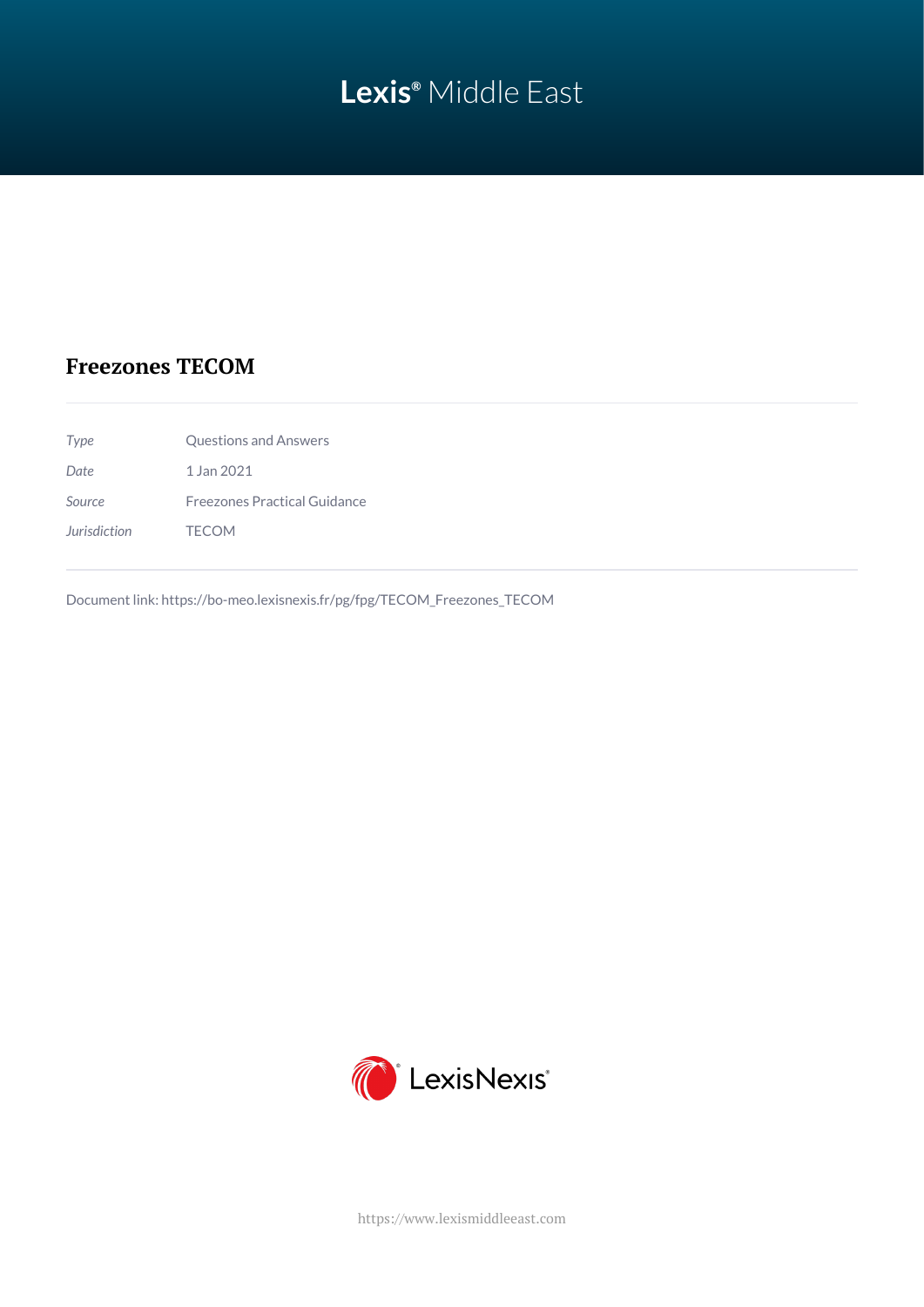# **Lexis®** Middle East

### **Freezones TECOM**

| Type         | Questions and Answers               |
|--------------|-------------------------------------|
| Date         | 1 Jan 2021                          |
| Source       | <b>Freezones Practical Guidance</b> |
| Jurisdiction | <b>TECOM</b>                        |
|              |                                     |

Document link: [https://bo-meo.lexisnexis.fr/pg/fpg/TECOM\\_Freezones\\_TECOM](https://bo-meo.lexisnexis.fr/pg/fpg/TECOM_Freezones_TECOM)



<https://www.lexismiddleeast.com>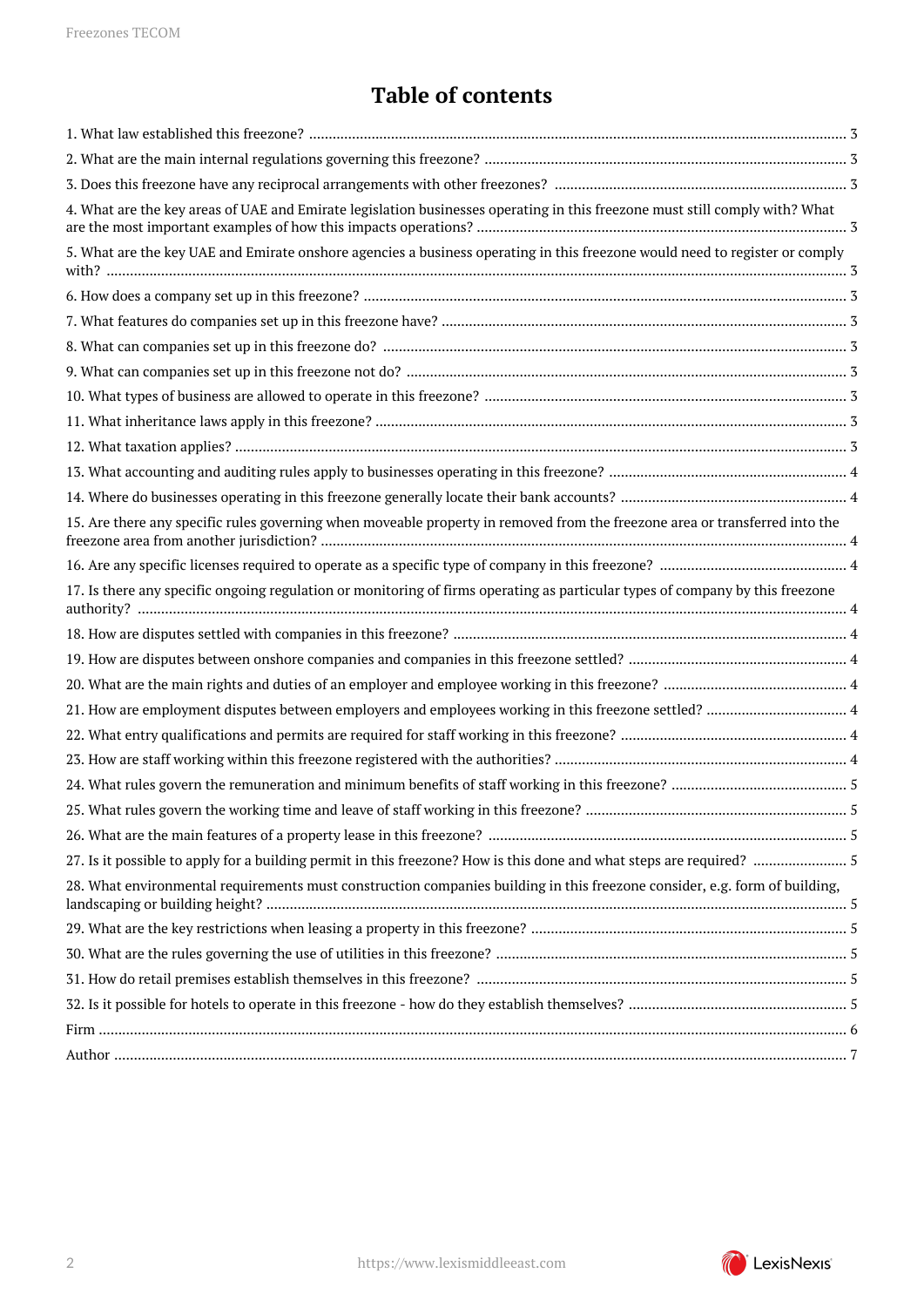## **Table of contents**

| 4. What are the key areas of UAE and Emirate legislation businesses operating in this freezone must still comply with? What   |
|-------------------------------------------------------------------------------------------------------------------------------|
| 5. What are the key UAE and Emirate onshore agencies a business operating in this freezone would need to register or comply   |
|                                                                                                                               |
|                                                                                                                               |
|                                                                                                                               |
|                                                                                                                               |
|                                                                                                                               |
|                                                                                                                               |
|                                                                                                                               |
|                                                                                                                               |
|                                                                                                                               |
| 15. Are there any specific rules governing when moveable property in removed from the freezone area or transferred into the   |
|                                                                                                                               |
| 17. Is there any specific ongoing regulation or monitoring of firms operating as particular types of company by this freezone |
|                                                                                                                               |
|                                                                                                                               |
|                                                                                                                               |
|                                                                                                                               |
|                                                                                                                               |
|                                                                                                                               |
|                                                                                                                               |
|                                                                                                                               |
|                                                                                                                               |
| 27. Is it possible to apply for a building permit in this freezone? How is this done and what steps are required?  5          |
| 28. What environmental requirements must construction companies building in this freezone consider, e.g. form of building,    |
|                                                                                                                               |
|                                                                                                                               |
|                                                                                                                               |
|                                                                                                                               |
|                                                                                                                               |
|                                                                                                                               |

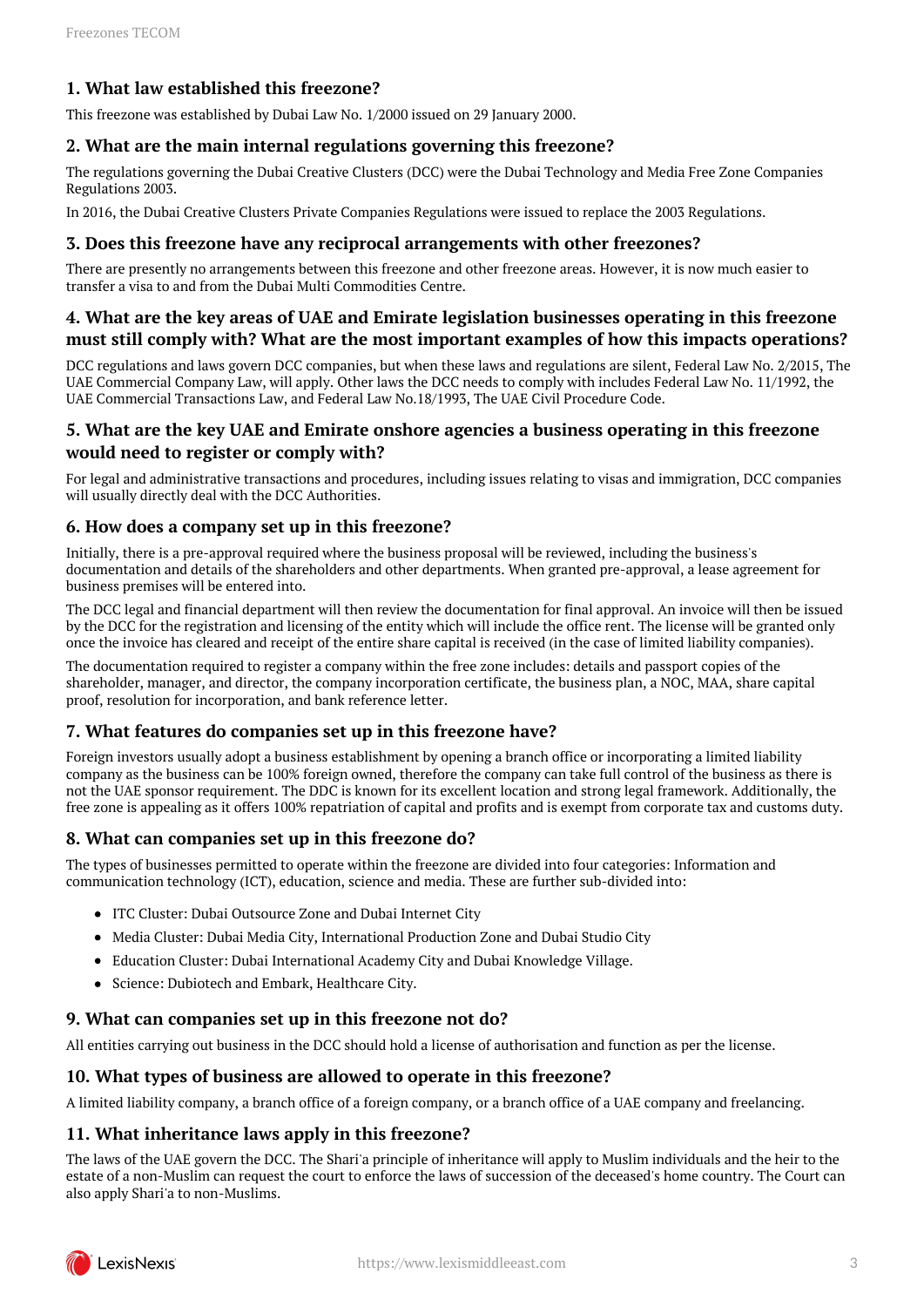#### <span id="page-2-0"></span>**1. What law established this freezone?**

This freezone was established by Dubai Law No. 1/2000 issued on 29 January 2000.

#### <span id="page-2-1"></span>**2. What are the main internal regulations governing this freezone?**

The regulations governing the Dubai Creative Clusters (DCC) were the Dubai Technology and Media Free Zone Companies Regulations 2003.

In 2016, the Dubai Creative Clusters Private Companies Regulations were issued to replace the 2003 Regulations.

#### <span id="page-2-2"></span>**3. Does this freezone have any reciprocal arrangements with other freezones?**

There are presently no arrangements between this freezone and other freezone areas. However, it is now much easier to transfer a visa to and from the Dubai Multi Commodities Centre.

#### <span id="page-2-3"></span>**4. What are the key areas of UAE and Emirate legislation businesses operating in this freezone must still comply with? What are the most important examples of how this impacts operations?**

DCC regulations and laws govern DCC companies, but when these laws and regulations are silent, Federal Law No. 2/2015, The UAE Commercial Company Law, will apply. Other laws the DCC needs to comply with includes Federal Law No. 11/1992, the UAE Commercial Transactions Law, and Federal Law No.18/1993, The UAE Civil Procedure Code.

#### <span id="page-2-4"></span>**5. What are the key UAE and Emirate onshore agencies a business operating in this freezone would need to register or comply with?**

For legal and administrative transactions and procedures, including issues relating to visas and immigration, DCC companies will usually directly deal with the DCC Authorities.

#### <span id="page-2-5"></span>**6. How does a company set up in this freezone?**

Initially, there is a pre-approval required where the business proposal will be reviewed, including the business's documentation and details of the shareholders and other departments. When granted pre-approval, a lease agreement for business premises will be entered into.

The DCC legal and financial department will then review the documentation for final approval. An invoice will then be issued by the DCC for the registration and licensing of the entity which will include the office rent. The license will be granted only once the invoice has cleared and receipt of the entire share capital is received (in the case of limited liability companies).

The documentation required to register a company within the free zone includes: details and passport copies of the shareholder, manager, and director, the company incorporation certificate, the business plan, a NOC, MAA, share capital proof, resolution for incorporation, and bank reference letter.

#### <span id="page-2-6"></span>**7. What features do companies set up in this freezone have?**

Foreign investors usually adopt a business establishment by opening a branch office or incorporating a limited liability company as the business can be 100% foreign owned, therefore the company can take full control of the business as there is not the UAE sponsor requirement. The DDC is known for its excellent location and strong legal framework. Additionally, the free zone is appealing as it offers 100% repatriation of capital and profits and is exempt from corporate tax and customs duty.

#### <span id="page-2-7"></span>**8. What can companies set up in this freezone do?**

The types of businesses permitted to operate within the freezone are divided into four categories: Information and communication technology (ICT), education, science and media. These are further sub-divided into:

- ITC Cluster: Dubai Outsource Zone and Dubai Internet City
- Media Cluster: Dubai Media City, International Production Zone and Dubai Studio City
- Education Cluster: Dubai International Academy City and Dubai Knowledge Village.
- Science: Dubiotech and Embark, Healthcare City.

#### <span id="page-2-8"></span>**9. What can companies set up in this freezone not do?**

All entities carrying out business in the DCC should hold a license of authorisation and function as per the license.

#### <span id="page-2-9"></span>**10. What types of business are allowed to operate in this freezone?**

A limited liability company, a branch office of a foreign company, or a branch office of a UAE company and freelancing.

#### <span id="page-2-10"></span>**11. What inheritance laws apply in this freezone?**

The laws of the UAE govern the DCC. The Shari'a principle of inheritance will apply to Muslim individuals and the heir to the estate of a non-Muslim can request the court to enforce the laws of succession of the deceased's home country. The Court can also apply Shari'a to non-Muslims.

<span id="page-2-11"></span>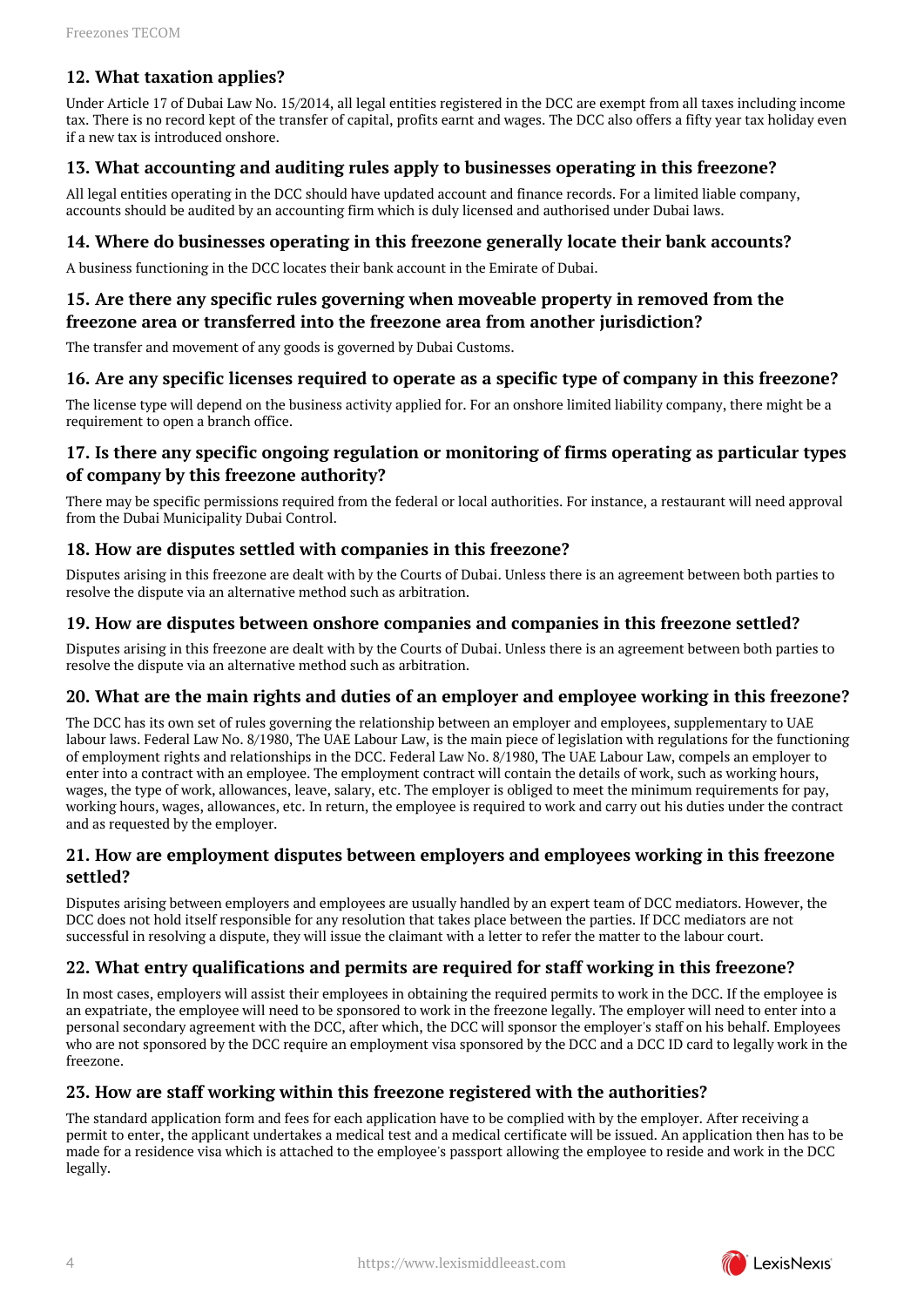#### **12. What taxation applies?**

Under Article 17 of Dubai Law No. 15/2014, all legal entities registered in the DCC are exempt from all taxes including income tax. There is no record kept of the transfer of capital, profits earnt and wages. The DCC also offers a fifty year tax holiday even if a new tax is introduced onshore.

#### <span id="page-3-0"></span>**13. What accounting and auditing rules apply to businesses operating in this freezone?**

All legal entities operating in the DCC should have updated account and finance records. For a limited liable company, accounts should be audited by an accounting firm which is duly licensed and authorised under Dubai laws.

#### <span id="page-3-1"></span>**14. Where do businesses operating in this freezone generally locate their bank accounts?**

A business functioning in the DCC locates their bank account in the Emirate of Dubai.

#### <span id="page-3-2"></span>**15. Are there any specific rules governing when moveable property in removed from the freezone area or transferred into the freezone area from another jurisdiction?**

The transfer and movement of any goods is governed by Dubai Customs.

#### <span id="page-3-3"></span>**16. Are any specific licenses required to operate as a specific type of company in this freezone?**

The license type will depend on the business activity applied for. For an onshore limited liability company, there might be a requirement to open a branch office.

#### <span id="page-3-4"></span>**17. Is there any specific ongoing regulation or monitoring of firms operating as particular types of company by this freezone authority?**

There may be specific permissions required from the federal or local authorities. For instance, a restaurant will need approval from the Dubai Municipality Dubai Control.

#### <span id="page-3-5"></span>**18. How are disputes settled with companies in this freezone?**

Disputes arising in this freezone are dealt with by the Courts of Dubai. Unless there is an agreement between both parties to resolve the dispute via an alternative method such as arbitration.

#### <span id="page-3-6"></span>**19. How are disputes between onshore companies and companies in this freezone settled?**

Disputes arising in this freezone are dealt with by the Courts of Dubai. Unless there is an agreement between both parties to resolve the dispute via an alternative method such as arbitration.

#### <span id="page-3-7"></span>**20. What are the main rights and duties of an employer and employee working in this freezone?**

The DCC has its own set of rules governing the relationship between an employer and employees, supplementary to UAE labour laws. Federal Law No. 8/1980, The UAE Labour Law, is the main piece of legislation with regulations for the functioning of employment rights and relationships in the DCC. Federal Law No. 8/1980, The UAE Labour Law, compels an employer to enter into a contract with an employee. The employment contract will contain the details of work, such as working hours, wages, the type of work, allowances, leave, salary, etc. The employer is obliged to meet the minimum requirements for pay, working hours, wages, allowances, etc. In return, the employee is required to work and carry out his duties under the contract and as requested by the employer.

#### <span id="page-3-8"></span>**21. How are employment disputes between employers and employees working in this freezone settled?**

Disputes arising between employers and employees are usually handled by an expert team of DCC mediators. However, the DCC does not hold itself responsible for any resolution that takes place between the parties. If DCC mediators are not successful in resolving a dispute, they will issue the claimant with a letter to refer the matter to the labour court.

#### <span id="page-3-9"></span>**22. What entry qualifications and permits are required for staff working in this freezone?**

In most cases, employers will assist their employees in obtaining the required permits to work in the DCC. If the employee is an expatriate, the employee will need to be sponsored to work in the freezone legally. The employer will need to enter into a personal secondary agreement with the DCC, after which, the DCC will sponsor the employer's staff on his behalf. Employees who are not sponsored by the DCC require an employment visa sponsored by the DCC and a DCC ID card to legally work in the freezone.

#### <span id="page-3-10"></span>**23. How are staff working within this freezone registered with the authorities?**

The standard application form and fees for each application have to be complied with by the employer. After receiving a permit to enter, the applicant undertakes a medical test and a medical certificate will be issued. An application then has to be made for a residence visa which is attached to the employee's passport allowing the employee to reside and work in the DCC legally.

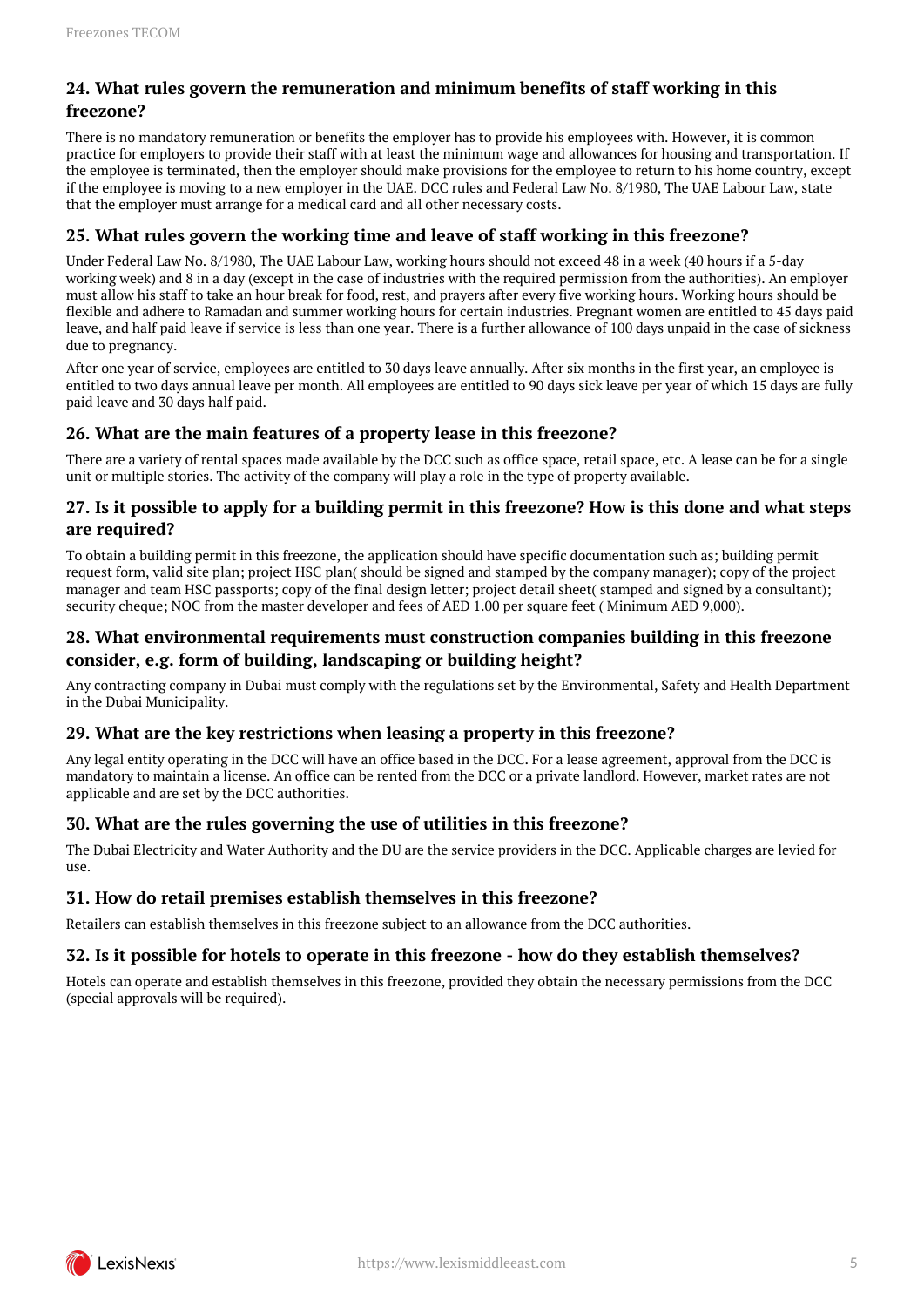#### <span id="page-4-0"></span>**24. What rules govern the remuneration and minimum benefits of staff working in this freezone?**

There is no mandatory remuneration or benefits the employer has to provide his employees with. However, it is common practice for employers to provide their staff with at least the minimum wage and allowances for housing and transportation. If the employee is terminated, then the employer should make provisions for the employee to return to his home country, except if the employee is moving to a new employer in the UAE. DCC rules and Federal Law No. 8/1980, The UAE Labour Law, state that the employer must arrange for a medical card and all other necessary costs.

#### <span id="page-4-1"></span>**25. What rules govern the working time and leave of staff working in this freezone?**

Under Federal Law No. 8/1980, The UAE Labour Law, working hours should not exceed 48 in a week (40 hours if a 5-day working week) and 8 in a day (except in the case of industries with the required permission from the authorities). An employer must allow his staff to take an hour break for food, rest, and prayers after every five working hours. Working hours should be flexible and adhere to Ramadan and summer working hours for certain industries. Pregnant women are entitled to 45 days paid leave, and half paid leave if service is less than one year. There is a further allowance of 100 days unpaid in the case of sickness due to pregnancy.

After one year of service, employees are entitled to 30 days leave annually. After six months in the first year, an employee is entitled to two days annual leave per month. All employees are entitled to 90 days sick leave per year of which 15 days are fully paid leave and 30 days half paid.

#### <span id="page-4-2"></span>**26. What are the main features of a property lease in this freezone?**

There are a variety of rental spaces made available by the DCC such as office space, retail space, etc. A lease can be for a single unit or multiple stories. The activity of the company will play a role in the type of property available.

#### <span id="page-4-3"></span>**27. Is it possible to apply for a building permit in this freezone? How is this done and what steps are required?**

To obtain a building permit in this freezone, the application should have specific documentation such as; building permit request form, valid site plan; project HSC plan( should be signed and stamped by the company manager); copy of the project manager and team HSC passports; copy of the final design letter; project detail sheet( stamped and signed by a consultant); security cheque; NOC from the master developer and fees of AED 1.00 per square feet ( Minimum AED 9,000).

#### <span id="page-4-4"></span>**28. What environmental requirements must construction companies building in this freezone consider, e.g. form of building, landscaping or building height?**

Any contracting company in Dubai must comply with the regulations set by the Environmental, Safety and Health Department in the Dubai Municipality.

#### <span id="page-4-5"></span>**29. What are the key restrictions when leasing a property in this freezone?**

Any legal entity operating in the DCC will have an office based in the DCC. For a lease agreement, approval from the DCC is mandatory to maintain a license. An office can be rented from the DCC or a private landlord. However, market rates are not applicable and are set by the DCC authorities.

#### <span id="page-4-6"></span>**30. What are the rules governing the use of utilities in this freezone?**

The Dubai Electricity and Water Authority and the DU are the service providers in the DCC. Applicable charges are levied for  $11S<sub>P</sub>$ 

#### <span id="page-4-7"></span>**31. How do retail premises establish themselves in this freezone?**

Retailers can establish themselves in this freezone subject to an allowance from the DCC authorities.

#### <span id="page-4-8"></span>**32. Is it possible for hotels to operate in this freezone - how do they establish themselves?**

Hotels can operate and establish themselves in this freezone, provided they obtain the necessary permissions from the DCC (special approvals will be required).

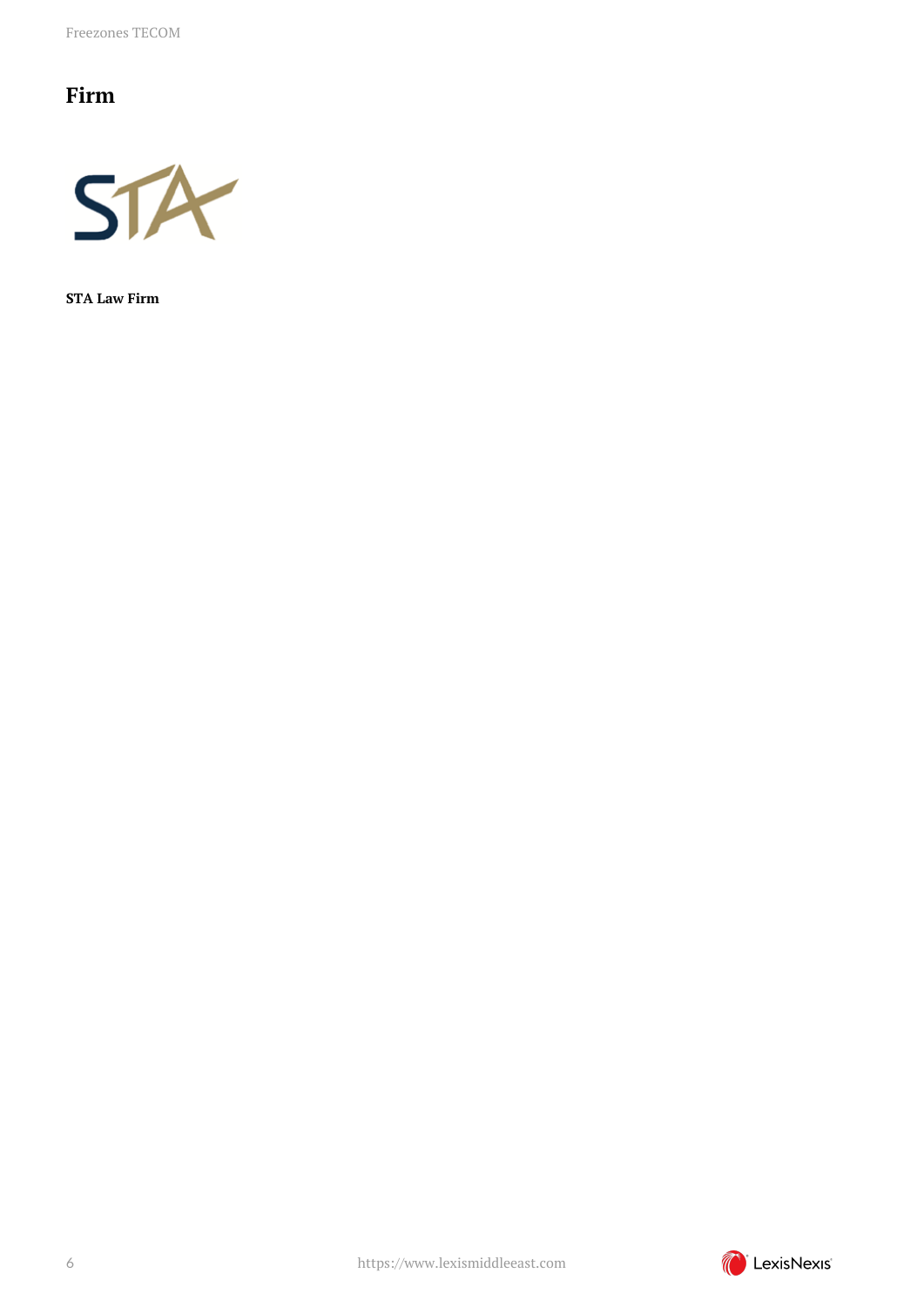Freezones TECOM

## <span id="page-5-0"></span>**Firm**



**STA Law Firm**